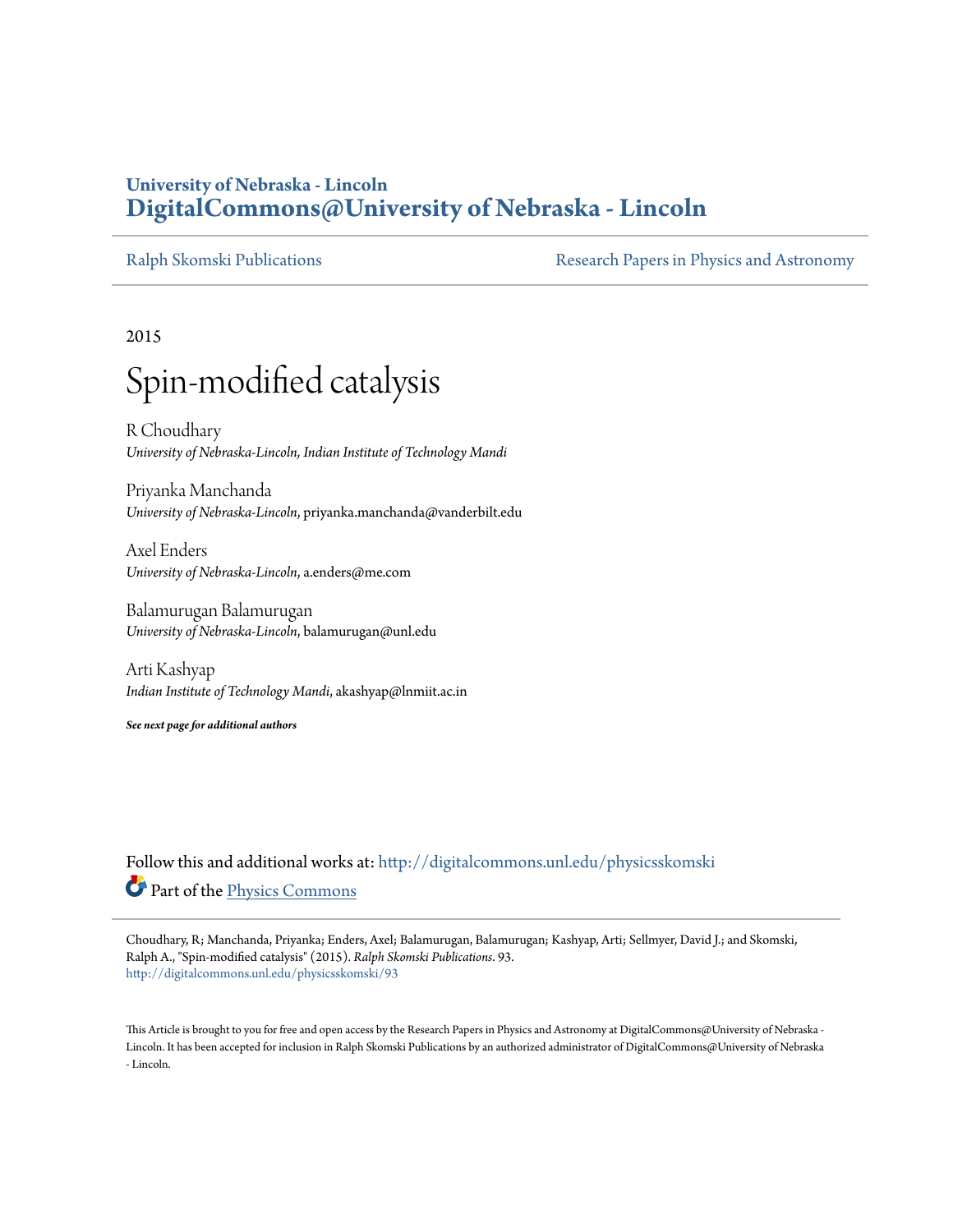## **University of Nebraska - Lincoln [DigitalCommons@University of Nebraska - Lincoln](http://digitalcommons.unl.edu?utm_source=digitalcommons.unl.edu%2Fphysicsskomski%2F93&utm_medium=PDF&utm_campaign=PDFCoverPages)**

[Ralph Skomski Publications](http://digitalcommons.unl.edu/physicsskomski?utm_source=digitalcommons.unl.edu%2Fphysicsskomski%2F93&utm_medium=PDF&utm_campaign=PDFCoverPages) **[Research Papers in Physics and Astronomy](http://digitalcommons.unl.edu/physicsresearch?utm_source=digitalcommons.unl.edu%2Fphysicsskomski%2F93&utm_medium=PDF&utm_campaign=PDFCoverPages)** 

2015

# Spin-modified catalysis

R Choudhary *University of Nebraska-Lincoln, Indian Institute of Technology Mandi*

Priyanka Manchanda *University of Nebraska-Lincoln*, priyanka.manchanda@vanderbilt.edu

Axel Enders *University of Nebraska-Lincoln*, a.enders@me.com

Balamurugan Balamurugan *University of Nebraska-Lincoln*, balamurugan@unl.edu

Arti Kashyap *Indian Institute of Technology Mandi*, akashyap@lnmiit.ac.in

*See next page for additional authors*

Follow this and additional works at: [http://digitalcommons.unl.edu/physicsskomski](http://digitalcommons.unl.edu/physicsskomski?utm_source=digitalcommons.unl.edu%2Fphysicsskomski%2F93&utm_medium=PDF&utm_campaign=PDFCoverPages) Part of the [Physics Commons](http://network.bepress.com/hgg/discipline/193?utm_source=digitalcommons.unl.edu%2Fphysicsskomski%2F93&utm_medium=PDF&utm_campaign=PDFCoverPages)

Choudhary, R; Manchanda, Priyanka; Enders, Axel; Balamurugan, Balamurugan; Kashyap, Arti; Sellmyer, David J.; and Skomski, Ralph A., "Spin-modified catalysis" (2015). *Ralph Skomski Publications*. 93. [http://digitalcommons.unl.edu/physicsskomski/93](http://digitalcommons.unl.edu/physicsskomski/93?utm_source=digitalcommons.unl.edu%2Fphysicsskomski%2F93&utm_medium=PDF&utm_campaign=PDFCoverPages)

This Article is brought to you for free and open access by the Research Papers in Physics and Astronomy at DigitalCommons@University of Nebraska - Lincoln. It has been accepted for inclusion in Ralph Skomski Publications by an authorized administrator of DigitalCommons@University of Nebraska - Lincoln.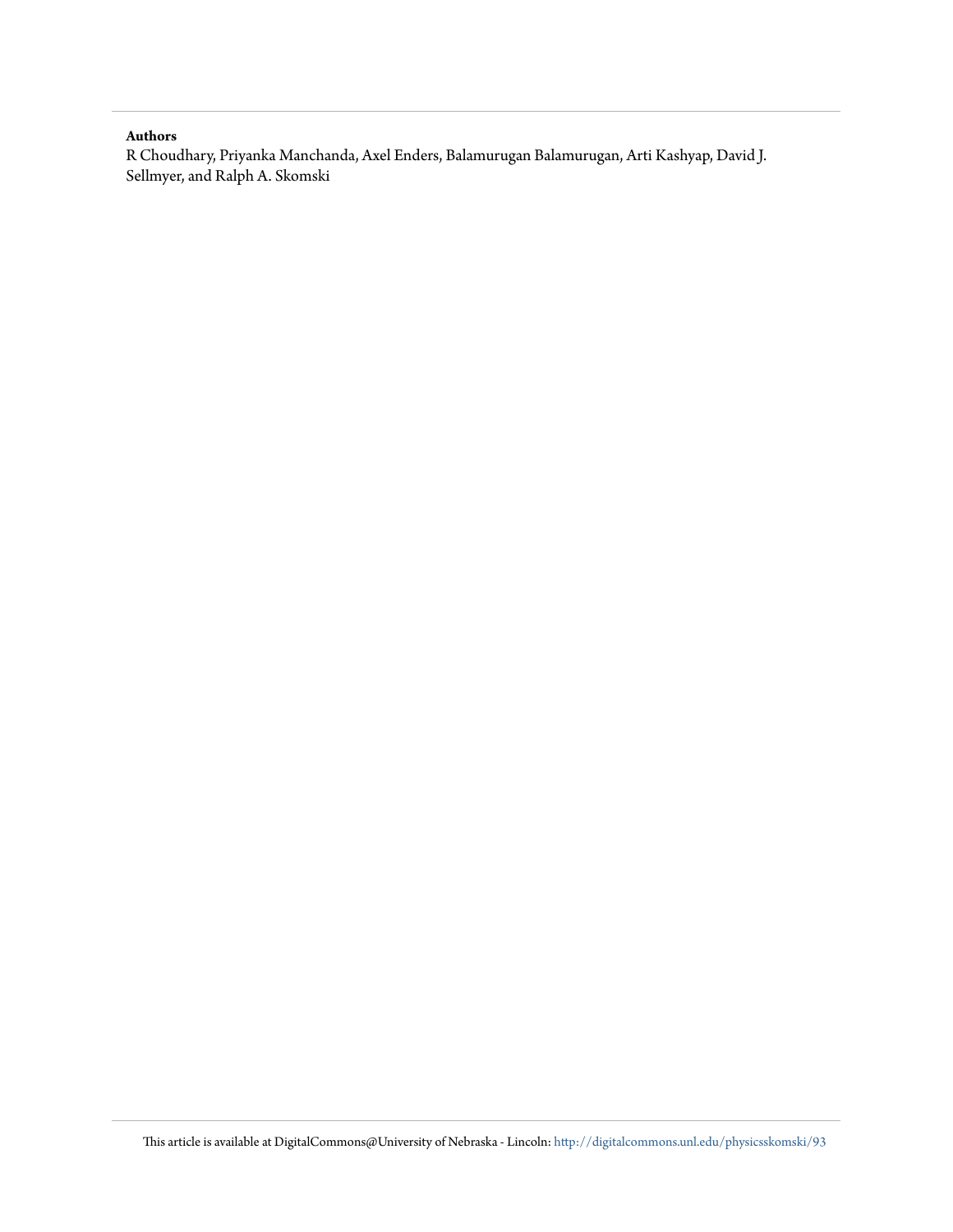#### **Authors**

R Choudhary, Priyanka Manchanda, Axel Enders, Balamurugan Balamurugan, Arti Kashyap, David J. Sellmyer, and Ralph A. Skomski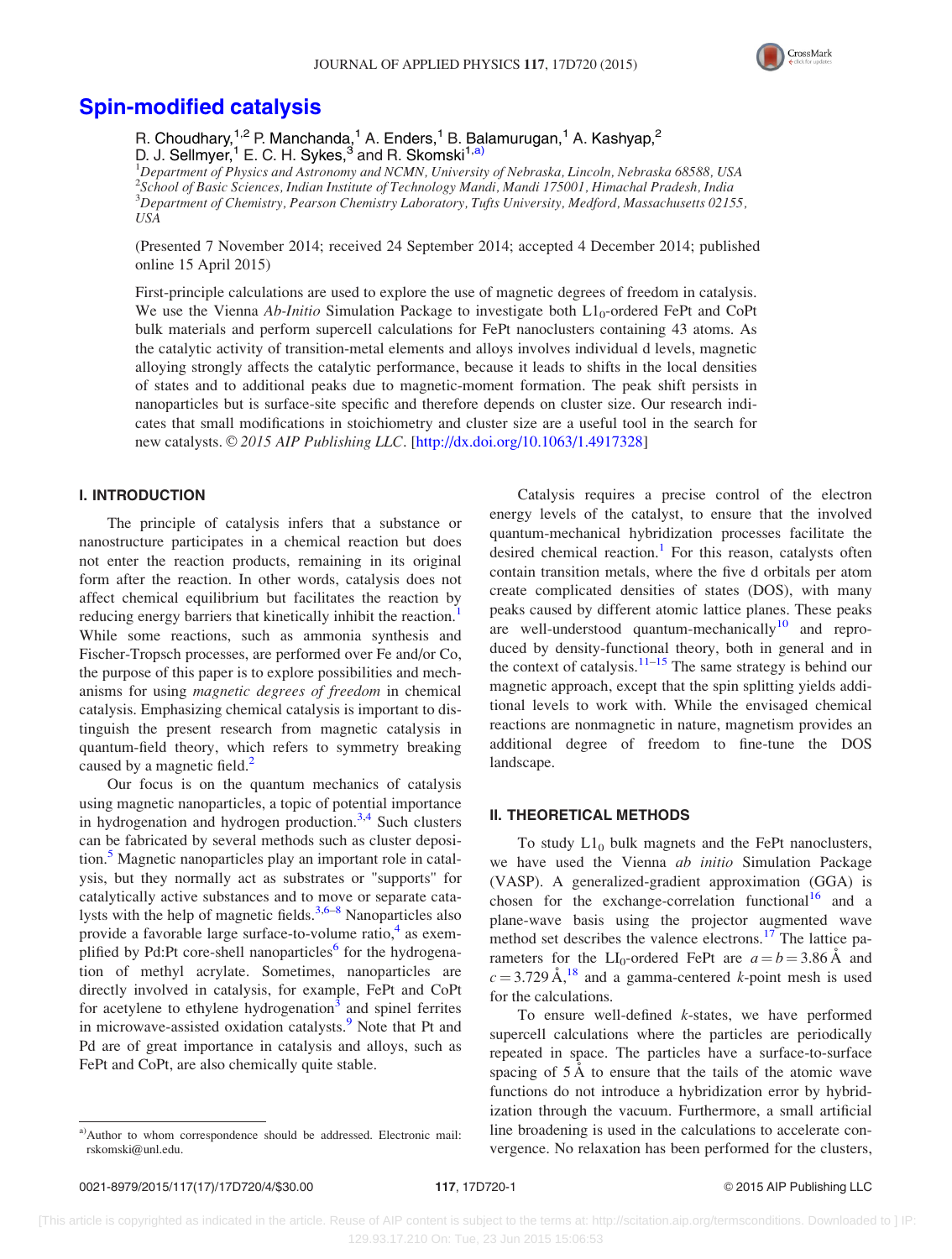

### [Spin-modified catalysis](http://dx.doi.org/10.1063/1.4917328)

R. Choudhary,  $1.2$  P. Manchanda, <sup>1</sup> A. Enders, <sup>1</sup> B. Balamurugan, <sup>1</sup> A. Kashyap, <sup>2</sup> D. J. Sellmyer,  $1 \text{ E. C. H. Sykes}$ , and R. Skomski<sup>1,a)</sup>

<sup>1</sup>Department of Physics and Astronomy and NCMN, University of Nebraska, Lincoln, Nebraska 68588, USA 2 School of Basic Sciences, Indian Institute of Technology Mandi, Mandi 175001, Himachal Pradesh, India 3 Department of Chemistry, Pearson Chemistry Laboratory, Tufts University, Medford, Massachusetts 02155, USA

(Presented 7 November 2014; received 24 September 2014; accepted 4 December 2014; published online 15 April 2015)

First-principle calculations are used to explore the use of magnetic degrees of freedom in catalysis. We use the Vienna Ab-Initio Simulation Package to investigate both  $L_1$ -ordered FePt and CoPt bulk materials and perform supercell calculations for FePt nanoclusters containing 43 atoms. As the catalytic activity of transition-metal elements and alloys involves individual d levels, magnetic alloying strongly affects the catalytic performance, because it leads to shifts in the local densities of states and to additional peaks due to magnetic-moment formation. The peak shift persists in nanoparticles but is surface-site specific and therefore depends on cluster size. Our research indicates that small modifications in stoichiometry and cluster size are a useful tool in the search for new catalysts. © 2015 AIP Publishing LLC. [[http://dx.doi.org/10.1063/1.4917328\]](http://dx.doi.org/10.1063/1.4917328)

#### I. INTRODUCTION

The principle of catalysis infers that a substance or nanostructure participates in a chemical reaction but does not enter the reaction products, remaining in its original form after the reaction. In other words, catalysis does not affect chemical equilibrium but facilitates the reaction by reducing energy barriers that kinetically inhibit the reaction.<sup>[1](#page-5-0)</sup> While some reactions, such as ammonia synthesis and Fischer-Tropsch processes, are performed over Fe and/or Co, the purpose of this paper is to explore possibilities and mechanisms for using magnetic degrees of freedom in chemical catalysis. Emphasizing chemical catalysis is important to distinguish the present research from magnetic catalysis in quantum-field theory, which refers to symmetry breaking caused by a magnetic field. $^{2}$ 

Our focus is on the quantum mechanics of catalysis using magnetic nanoparticles, a topic of potential importance in hydrogenation and hydrogen production.<sup>[3,4](#page-5-0)</sup> Such clusters can be fabricated by several methods such as cluster deposi-tion.<sup>[5](#page-5-0)</sup> Magnetic nanoparticles play an important role in catalysis, but they normally act as substrates or "supports" for catalytically active substances and to move or separate cata-lysts with the help of magnetic fields.<sup>[3,6](#page-5-0)–[8](#page-5-0)</sup> Nanoparticles also provide a favorable large surface-to-volume ratio, $4$  as exemplified by Pd: Pt core-shell nanoparticles<sup>6</sup> for the hydrogenation of methyl acrylate. Sometimes, nanoparticles are directly involved in catalysis, for example, FePt and CoPt for acetylene to ethylene hydrogenation $3$  and spinel ferrites in microwave-assisted oxidation catalysts.<sup>[9](#page-5-0)</sup> Note that Pt and Pd are of great importance in catalysis and alloys, such as FePt and CoPt, are also chemically quite stable.

Catalysis requires a precise control of the electron energy levels of the catalyst, to ensure that the involved quantum-mechanical hybridization processes facilitate the desired chemical reaction.<sup>[1](#page-5-0)</sup> For this reason, catalysts often contain transition metals, where the five d orbitals per atom create complicated densities of states (DOS), with many peaks caused by different atomic lattice planes. These peaks are well-understood quantum-mechanically $10$  and reproduced by density-functional theory, both in general and in the context of catalysis.<sup>[11](#page-5-0)–[15](#page-5-0)</sup> The same strategy is behind our magnetic approach, except that the spin splitting yields additional levels to work with. While the envisaged chemical reactions are nonmagnetic in nature, magnetism provides an additional degree of freedom to fine-tune the DOS landscape.

#### II. THEORETICAL METHODS

To study  $L1_0$  bulk magnets and the FePt nanoclusters, we have used the Vienna *ab initio* Simulation Package (VASP). A generalized-gradient approximation (GGA) is chosen for the exchange-correlation functional<sup>[16](#page-5-0)</sup> and a plane-wave basis using the projector augmented wave method set describes the valence electrons.<sup>[17](#page-5-0)</sup> The lattice parameters for the LI<sub>0</sub>-ordered FePt are  $a = b = 3.86 \text{ Å}$  and  $c = 3.729 \text{ Å}^{18}$  $c = 3.729 \text{ Å}^{18}$  $c = 3.729 \text{ Å}^{18}$  and a gamma-centered k-point mesh is used for the calculations.

To ensure well-defined  $k$ -states, we have performed supercell calculations where the particles are periodically repeated in space. The particles have a surface-to-surface spacing of  $5 \text{ Å}$  to ensure that the tails of the atomic wave functions do not introduce a hybridization error by hybridization through the vacuum. Furthermore, a small artificial line broadening is used in the calculations to accelerate convergence. No relaxation has been performed for the clusters,

a)Author to whom correspondence should be addressed. Electronic mail: [rskomski@unl.edu](mailto:rskomski@unl.edu).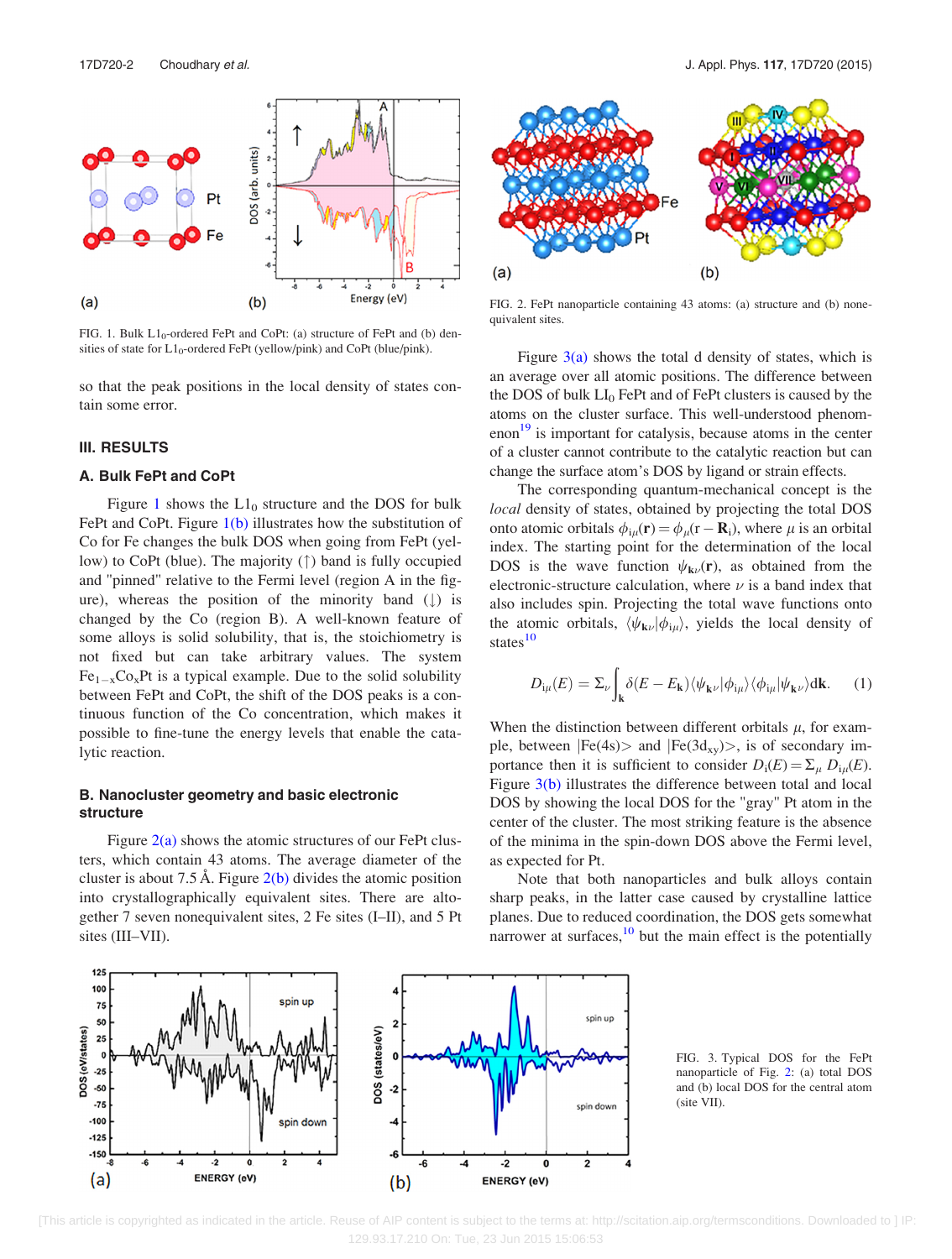<span id="page-3-0"></span>

FIG. 1. Bulk  $L1_0$ -ordered FePt and CoPt: (a) structure of FePt and (b) densities of state for  $L1_0$ -ordered FePt (yellow/pink) and CoPt (blue/pink).

so that the peak positions in the local density of states contain some error.

#### III. RESULTS

#### A. Bulk FePt and CoPt

Figure 1 shows the  $L1_0$  structure and the DOS for bulk FePt and CoPt. Figure 1(b) illustrates how the substitution of Co for Fe changes the bulk DOS when going from FePt (yellow) to CoPt (blue). The majority  $(\uparrow)$  band is fully occupied and "pinned" relative to the Fermi level (region A in the figure), whereas the position of the minority band  $(l)$  is changed by the Co (region B). A well-known feature of some alloys is solid solubility, that is, the stoichiometry is not fixed but can take arbitrary values. The system  $Fe_{1-x}Co_xPt$  is a typical example. Due to the solid solubility between FePt and CoPt, the shift of the DOS peaks is a continuous function of the Co concentration, which makes it possible to fine-tune the energy levels that enable the catalytic reaction.

#### B. Nanocluster geometry and basic electronic structure

Figure  $2(a)$  shows the atomic structures of our FePt clusters, which contain 43 atoms. The average diameter of the cluster is about 7.5 Å. Figure  $2(b)$  divides the atomic position into crystallographically equivalent sites. There are altogether 7 seven nonequivalent sites, 2 Fe sites (I–II), and 5 Pt sites (III–VII).



FIG. 2. FePt nanoparticle containing 43 atoms: (a) structure and (b) nonequivalent sites.

Figure  $3(a)$  shows the total d density of states, which is an average over all atomic positions. The difference between the DOS of bulk  $LI_0$  FePt and of FePt clusters is caused by the atoms on the cluster surface. This well-understood phenomenon $19$  is important for catalysis, because atoms in the center of a cluster cannot contribute to the catalytic reaction but can change the surface atom's DOS by ligand or strain effects.

The corresponding quantum-mechanical concept is the local density of states, obtained by projecting the total DOS onto atomic orbitals  $\phi_{i\mu}(\mathbf{r}) = \phi_{\mu}(\mathbf{r} - \mathbf{R}_i)$ , where  $\mu$  is an orbital index. The starting point for the determination of the local DOS is the wave function  $\psi_{\mathbf{k}\nu}(\mathbf{r})$ , as obtained from the electronic-structure calculation, where  $\nu$  is a band index that also includes spin. Projecting the total wave functions onto the atomic orbitals,  $\langle \psi_{\mathbf{k}\nu} | \phi_{i\mu} \rangle$ , yields the local density of states $10$ 

$$
D_{\mathrm{i}\mu}(E) = \Sigma_{\nu} \int_{\mathbf{k}} \delta(E - E_{\mathbf{k}}) \langle \psi_{\mathbf{k}\nu} | \phi_{\mathrm{i}\mu} \rangle \langle \phi_{\mathrm{i}\mu} | \psi_{\mathbf{k}\nu} \rangle \mathrm{d}\mathbf{k}.
$$
 (1)

When the distinction between different orbitals  $\mu$ , for example, between  $|Fe(4s)\rangle$  and  $|Fe(3d_{xy})\rangle$ , is of secondary importance then it is sufficient to consider  $D_i(E) = \sum_u D_{iu}(E)$ . Figure 3(b) illustrates the difference between total and local DOS by showing the local DOS for the "gray" Pt atom in the center of the cluster. The most striking feature is the absence of the minima in the spin-down DOS above the Fermi level, as expected for Pt.

Note that both nanoparticles and bulk alloys contain sharp peaks, in the latter case caused by crystalline lattice planes. Due to reduced coordination, the DOS gets somewhat narrower at surfaces, $\frac{10}{10}$  $\frac{10}{10}$  $\frac{10}{10}$  but the main effect is the potentially



FIG. 3. Typical DOS for the FePt nanoparticle of Fig. 2: (a) total DOS and (b) local DOS for the central atom (site VII).

 [This article is copyrighted as indicated in the article. Reuse of AIP content is subject to the terms at: http://scitation.aip.org/termsconditions. Downloaded to ] IP: 129.93.17.210 On: Tue, 23 Jun 2015 15:06:53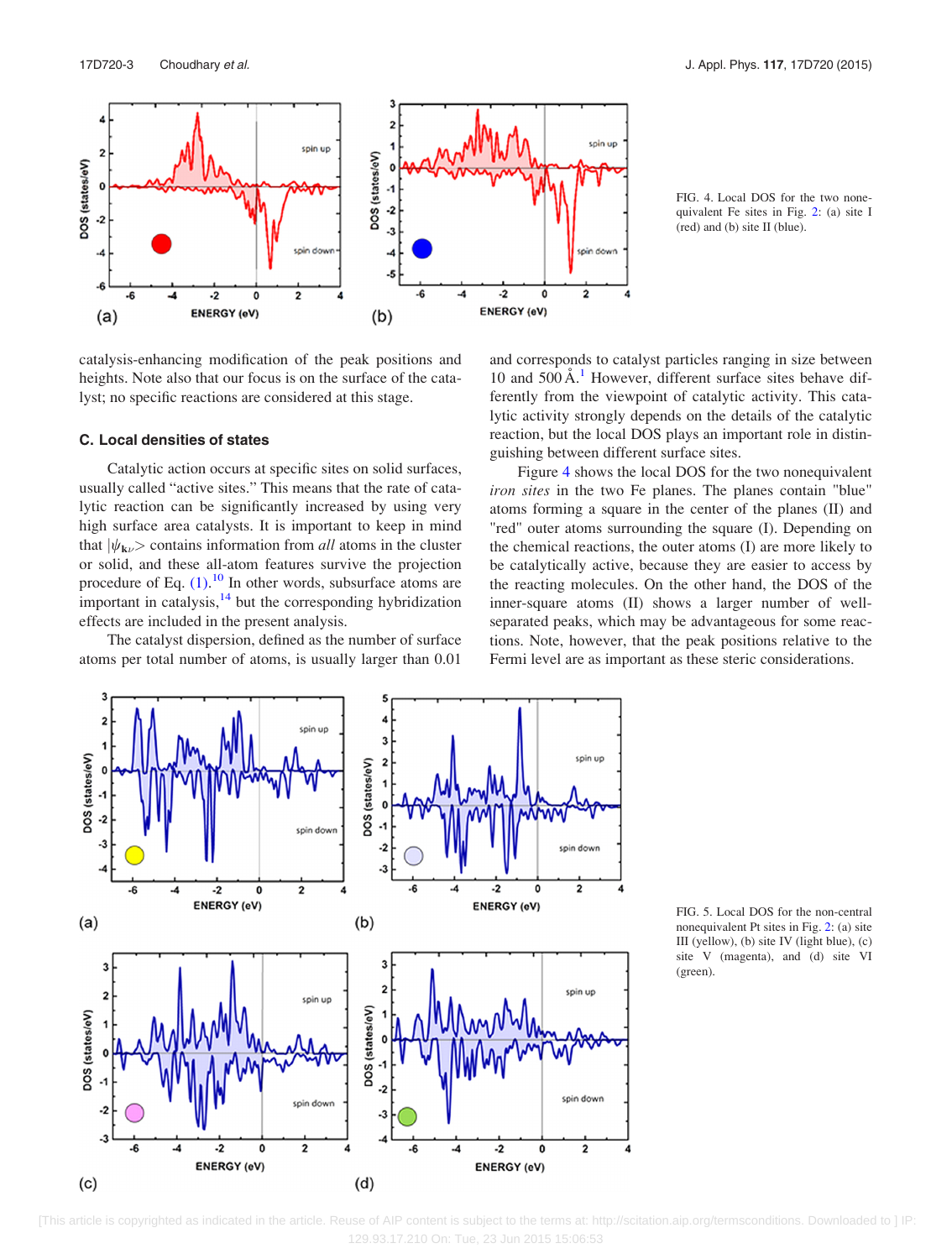

<span id="page-4-0"></span>17D720-3 Choudhary et al. J. Appl. Phys. 117, 17D720 (2015)

FIG. 4. Local DOS for the two nonequivalent Fe sites in Fig. [2](#page-3-0): (a) site I (red) and (b) site II (blue).

catalysis-enhancing modification of the peak positions and heights. Note also that our focus is on the surface of the catalyst; no specific reactions are considered at this stage.

#### C. Local densities of states

Catalytic action occurs at specific sites on solid surfaces, usually called "active sites." This means that the rate of catalytic reaction can be significantly increased by using very high surface area catalysts. It is important to keep in mind that  $|\psi_{\mathbf{k}\nu}\rangle$  contains information from *all* atoms in the cluster or solid, and these all-atom features survive the projection procedure of Eq.  $(1)$ .<sup>[10](#page-5-0)</sup> In other words, subsurface atoms are important in catalysis,<sup>[14](#page-5-0)</sup> but the corresponding hybridization effects are included in the present analysis.

The catalyst dispersion, defined as the number of surface atoms per total number of atoms, is usually larger than 0.01 and corresponds to catalyst particles ranging in size between [1](#page-5-0)0 and 500 Å.<sup>1</sup> However, different surface sites behave differently from the viewpoint of catalytic activity. This catalytic activity strongly depends on the details of the catalytic reaction, but the local DOS plays an important role in distinguishing between different surface sites.

Figure 4 shows the local DOS for the two nonequivalent iron sites in the two Fe planes. The planes contain "blue" atoms forming a square in the center of the planes (II) and "red" outer atoms surrounding the square (I). Depending on the chemical reactions, the outer atoms (I) are more likely to be catalytically active, because they are easier to access by the reacting molecules. On the other hand, the DOS of the inner-square atoms (II) shows a larger number of wellseparated peaks, which may be advantageous for some reactions. Note, however, that the peak positions relative to the Fermi level are as important as these steric considerations.



FIG. 5. Local DOS for the non-central nonequivalent Pt sites in Fig. [2:](#page-3-0) (a) site III (yellow), (b) site IV (light blue), (c) site V (magenta), and (d) site VI (green).